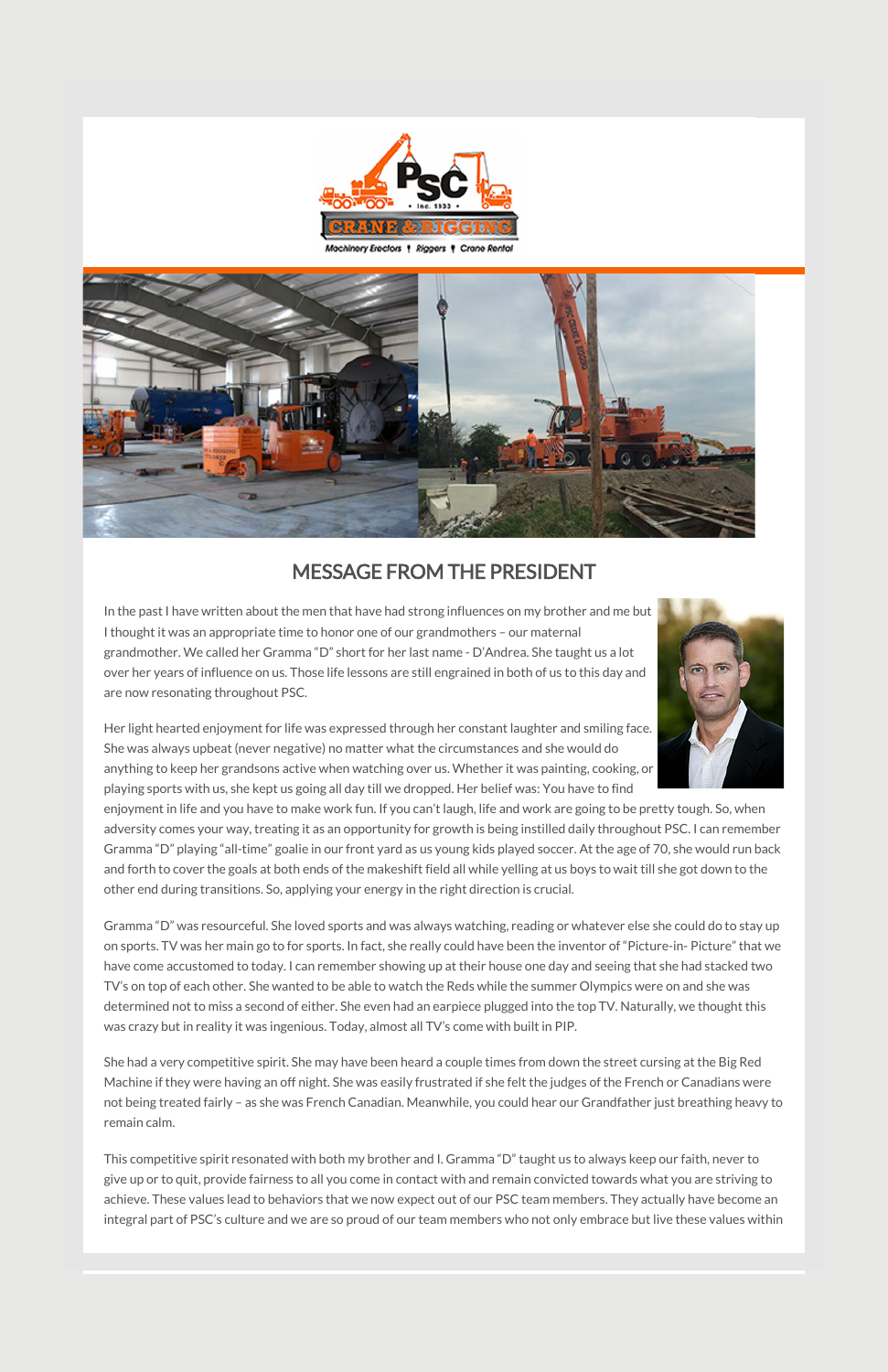

Machinery Erectors 1 Riggers 1 Crane Rental



### MESSAGE FROM THE PRESIDENT

In the past I have written about the men that have had strong influences on my brother and me but I thought it was an appropriate time to honor one of our grandmothers – our maternal grandmother. We called her Gramma "D" short for her last name - D'Andrea. She taught us a lot over her years of influence on us. Those life lessons are still engrained in both of us to this day and are now resonating throughout PSC.



Her light hearted enjoyment for life was expressed through her constant laughter and smiling face. She was always upbeat (never negative) no matter what the circumstances and she would do anything to keep her grandsons active when watching over us. Whether it was painting, cooking, or playing sports with us, she kept us going all day till we dropped. Her belief was: You have to find

enjoyment in life and you have to make work fun. If you can't laugh, life and work are going to be pretty tough. So, when adversity comes your way, treating it as an opportunity for growth is being instilled daily throughout PSC. I can remember Gramma "D" playing "all-time" goalie in our front yard as us young kids played soccer. At the age of 70, she would run back and forth to cover the goals at both ends of the makeshift field all while yelling at us boys to wait till she got down to the other end during transitions. So, applying your energy in the right direction is crucial.

Gramma "D" was resourceful. She loved sports and was always watching, reading or whatever else she could do to stay up on sports. TV was her main go to for sports. In fact, she really could have been the inventor of "Picture-in- Picture" that we have come accustomed to today. I can remember showing up at their house one day and seeing that she had stacked two TV's on top of each other. She wanted to be able to watch the Reds while the summer Olympics were on and she was determined not to miss a second of either. She even had an earpiece plugged into the top TV. Naturally, we thought this

was crazy but in reality it was ingenious. Today, almost all TV's come with built in PIP.

She had a very competitive spirit. She may have been heard a couple times from down the street cursing at the Big Red Machine if they were having an off night. She was easily frustrated if she felt the judges of the French or Canadians were not being treated fairly – as she was French Canadian. Meanwhile, you could hear our Grandfather just breathing heavy to remain calm.

This competitive spirit resonated with both my brother and I. Gramma "D" taught us to always keep our faith, never to give up or to quit, provide fairness to all you come in contact with and remain convicted towards what you are striving to achieve. These values lead to behaviors that we now expect out of our PSC team members. They actually have become an integral part of PSC's culture and we are so proud of our team members who not only embrace but live these values within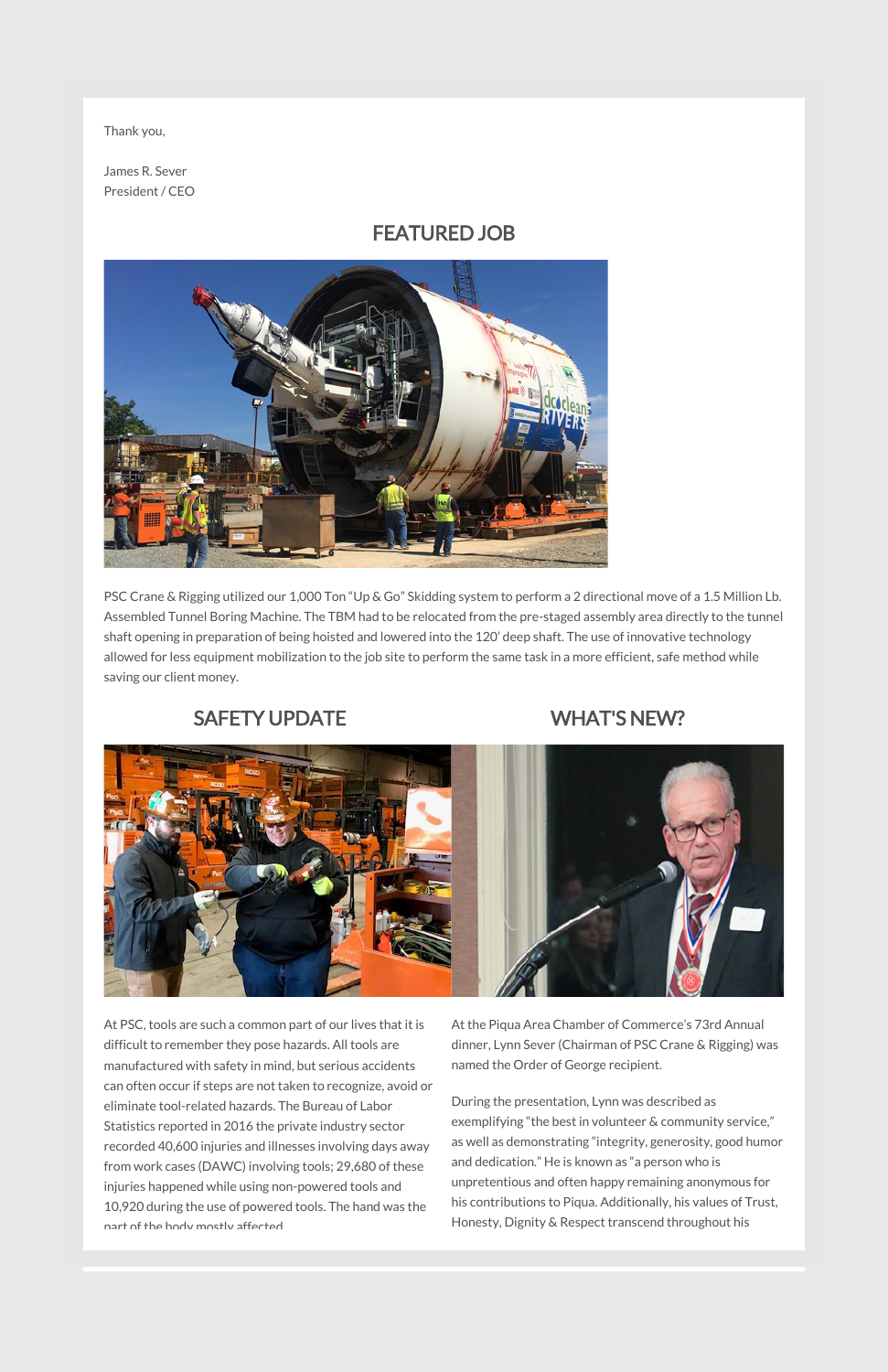Thank you,

James R. Sever President / CEO

#### FEATURED JOB



PSC Crane & Rigging utilized our 1,000 Ton "Up & Go" Skidding system to perform a 2 directional move of a 1.5 Million Lb. Assembled Tunnel Boring Machine. The TBM had to be relocated from the pre-staged assembly area directly to the tunnel shaft opening in preparation of being hoisted and lowered into the 120' deep shaft. The use of innovative technology allowed for less equipment mobilization to the job site to perform the same task in a more efficient, safe method while saving our client money.

# SAFETY UPDATE

At PSC, tools are such a common part of our lives that it is difficult to remember they pose hazards. All tools are manufactured with safety in mind, but serious accidents can often occur if steps are not taken to recognize, avoid or eliminate tool-related hazards. The Bureau of Labor Statistics reported in 2016 the private industry sector recorded 40,600 injuries and illnesses involving days away from work cases (DAWC) involving tools; 29,680 of these injuries happened while using non-powered tools and 10,920 during the use of powered tools. The hand was the part of the body mostly affected.

## WHAT'S NEW?



At the Piqua Area Chamber of Commerce's 73rd Annual dinner, Lynn Sever (Chairman of PSC Crane & Rigging) was named the Order of George recipient.

During the presentation, Lynn was described as exemplifying "the best in volunteer & community service," as well as demonstrating "integrity, generosity, good humor and dedication." He is known as "a person who is unpretentious and often happy remaining anonymous for his contributions to Piqua. Additionally, his values of Trust, Honesty, Dignity & Respect transcend throughout his